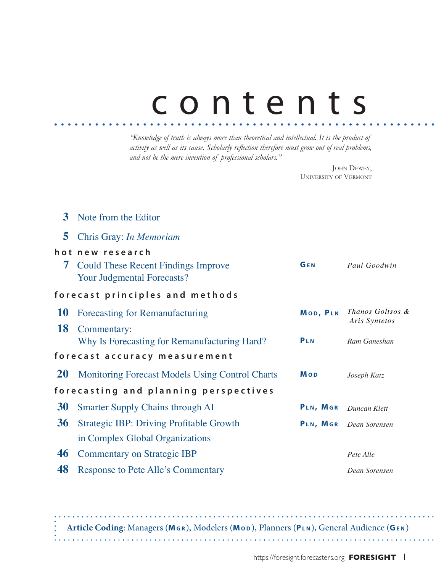# contents

*"Knowledge of truth is always more than theoretical and intellectual. It is the product of activity as well as its cause. Scholarly reflection therefore must grow out of real problems, and not be the mere invention of professional scholars."*

> JOHN DEWEY, University of Vermont

| 3                                     | Note from the Editor                                                            |            |                                   |
|---------------------------------------|---------------------------------------------------------------------------------|------------|-----------------------------------|
| 5                                     | Chris Gray: In Memoriam                                                         |            |                                   |
|                                       | hot new research                                                                |            |                                   |
| 7                                     | <b>Could These Recent Findings Improve</b><br><b>Your Judgmental Forecasts?</b> | GEN        | Paul Goodwin                      |
| forecast principles and methods       |                                                                                 |            |                                   |
| <b>10</b>                             | Forecasting for Remanufacturing                                                 | MOD, PLN   | Thanos Goltsos &<br>Aris Syntetos |
| <b>18</b>                             | Commentary:                                                                     |            |                                   |
|                                       | Why Is Forecasting for Remanufacturing Hard?                                    | PLN        | Ram Ganeshan                      |
| forecast accuracy measurement         |                                                                                 |            |                                   |
| <b>20</b>                             | <b>Monitoring Forecast Models Using Control Charts</b>                          | <b>Mop</b> | Joseph Katz                       |
| forecasting and planning perspectives |                                                                                 |            |                                   |
| 30                                    | Smarter Supply Chains through AI                                                | PLN, MGR   | Duncan Klett                      |
| 36                                    | <b>Strategic IBP: Driving Profitable Growth</b>                                 | PLN, MGR   | Dean Sorensen                     |
|                                       | in Complex Global Organizations                                                 |            |                                   |
| 46                                    | <b>Commentary on Strategic IBP</b>                                              |            | Pete Alle                         |
| 48                                    | <b>Response to Pete Alle's Commentary</b>                                       |            | Dean Sorensen                     |

**Article Coding**: Managers (**Mg r** ), Modelers (**Mo d** ), Planners (**Pl n** ), General Audience (**Ge n** )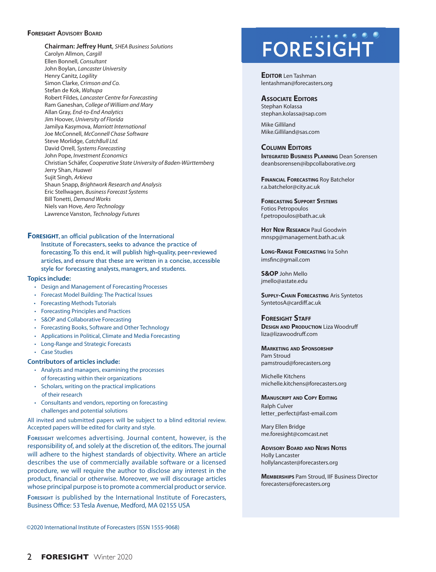### **FORESIGHT** ADVISORY BOARD

**Chairman: Jeffrey Hunt**, *SHEA Business Solutions* Carolyn Allmon, *Cargill* Ellen Bonnell, *Consultant* John Boylan, *Lancaster University* Henry Canitz*, Logility* Simon Clarke, *Crimson and Co.*  Stefan de Kok, *Wahupa* Robert Fildes, *Lancaster Centre for Forecasting* Ram Ganeshan, *College of William and Mary* Allan Gray, *End-to-End Analytics* Jim Hoover, *University of Florida* Jamilya Kasymova, *Marriott International* Joe McConnell, *McConnell Chase Software* Steve Morlidge, *CatchBull Ltd.* David Orrell, *Systems Forecasting* John Pope, *Investment Economics* Christian Schäfer, *Cooperative State University of Baden-Württemberg* Jerry Shan, *Huawei* Sujit Singh, *Arkieva* Shaun Snapp, *Brightwork Research and Analysis* Eric Stellwagen, *Business Forecast Systems* Bill Tonetti, *Demand Works* Niels van Hove, *Aero Technology* Lawrence Vanston, *Technology Futures*

### **FORESIGHT**, an official publication of the International

Institute of Forecasters, seeks to advance the practice of forecasting. To this end, it will publish high-quality, peer-reviewed articles, and ensure that these are written in a concise, accessible style for forecasting analysts, managers, and students.

#### **Topics include:**

- Design and Management of Forecasting Processes
- Forecast Model Building: The Practical Issues
- Forecasting Methods Tutorials
- Forecasting Principles and Practices
- S&OP and Collaborative Forecasting
- Forecasting Books, Software and Other Technology
- Applications in Political, Climate and Media Forecasting
- Long-Range and Strategic Forecasts
- Case Studies

### **Contributors of articles include:**

- Analysts and managers, examining the processes of forecasting within their organizations
- Scholars, writing on the practical implications of their research
- Consultants and vendors, reporting on forecasting challenges and potential solutions

All invited and submitted papers will be subject to a blind editorial review. Accepted papers will be edited for clarity and style.

**Foresight** welcomes advertising. Journal content, however, is the responsibility of, and solely at the discretion of, the editors. The journal will adhere to the highest standards of objectivity. Where an article describes the use of commercially available software or a licensed procedure, we will require the author to disclose any interest in the product, financial or otherwise. Moreover, we will discourage articles whose principal purpose is to promote a commercial product or service.

**Foresight** is published by the International Institute of Forecasters, Business Office: 53 Tesla Avenue, Medford, MA 02155 USA

## **FORESIGHT**

**EDITOR** Len Tashman lentashman@forecasters.org

### **Associate Editors**

Stephan Kolassa stephan.kolassa@sap.com

Mike Gilliland Mike.Gilliland@sas.com

### **Column Editors**

**INTEGRATED BUSINESS PLANNING** Dean Sorensen deanbsorensen@ibpcollaborative.org

**Financial Forecasting** Roy Batchelor r.a.batchelor@city.ac.uk

**Forecasting Support Systems** Fotios Petropoulos f.petropoulos@bath.ac.uk

**Hot New Research** Paul Goodwin mnspg@management.bath.ac.uk

**Long-Range Forecasting** Ira Sohn imsfinc@gmail.com

**S&OP** John Mello jmello@astate.edu

**Supply-Chain Forecasting** Aris Syntetos SyntetosA@cardiff.ac.uk

### **Foresight Staff**

**DESIGN AND PRODUCTION** Liza Woodruff liza@lizawoodruff.com

**Marketing and Sponsorship** Pam Stroud pamstroud@forecasters.org

Michelle Kitchens michelle.kitchens@forecasters.org

**Manuscript and Copy Editing** Ralph Culver letter\_perfect@fast-email.com

Mary Ellen Bridge me.foresight@comcast.net

**Advisory Board and News Notes** Holly Lancaster hollylancaster@forecasters.org

**Memberships** Pam Stroud, IIF Business Director forecasters@forecasters.org

©2020 International Institute of Forecasters (ISSN 1555-9068)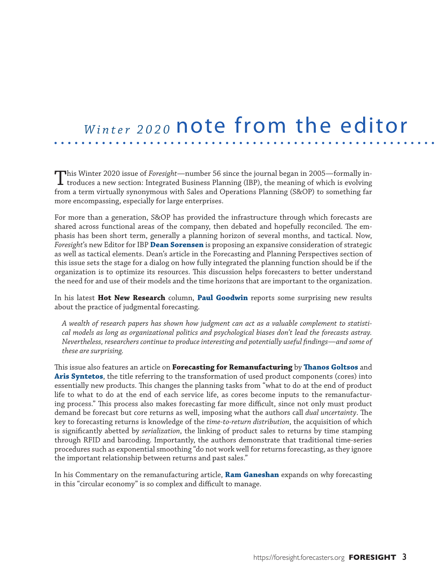### *Winter 2020* note from the editor

This Winter 2020 issue of *Foresight*—number 56 since the journal began in 2005—formally in- $\perp$  troduces a new section: Integrated Business Planning (IBP), the meaning of which is evolving from a term virtually synonymous with Sales and Operations Planning (S&OP) to something far more encompassing, especially for large enterprises.

For more than a generation, S&OP has provided the infrastructure through which forecasts are shared across functional areas of the company, then debated and hopefully reconciled. The emphasis has been short term, generally a planning horizon of several months, and tactical. Now, *Foresight*'s new Editor for IBP **Dean Sorensen** is proposing an expansive consideration of strategic as well as tactical elements. Dean's article in the Forecasting and Planning Perspectives section of this issue sets the stage for a dialog on how fully integrated the planning function should be if the organization is to optimize its resources. This discussion helps forecasters to better understand the need for and use of their models and the time horizons that are important to the organization.

In his latest **Hot New Research** column, **Paul Goodwin** reports some surprising new results about the practice of judgmental forecasting.

*A wealth of research papers has shown how judgment can act as a valuable complement to statistical models as long as organizational politics and psychological biases don't lead the forecasts astray. Nevertheless, researchers continue to produce interesting and potentially useful findings—and some of these are surprising.*

This issue also features an article on **Forecasting for Remanufacturing** by **Thanos Goltsos** and **Aris Syntetos**, the title referring to the transformation of used product components (cores) into essentially new products. This changes the planning tasks from "what to do at the end of product life to what to do at the end of each service life, as cores become inputs to the remanufacturing process." This process also makes forecasting far more difficult, since not only must product demand be forecast but core returns as well, imposing what the authors call *dual uncertainty*. The key to forecasting returns is knowledge of the *time-to-return distribution*, the acquisition of which is significantly abetted by *serialization*, the linking of product sales to returns by time stamping through RFID and barcoding. Importantly, the authors demonstrate that traditional time-series procedures such as exponential smoothing "do not work well for returns forecasting, as they ignore the important relationship between returns and past sales."

In his Commentary on the remanufacturing article, **Ram Ganeshan** expands on why forecasting in this "circular economy" is so complex and difficult to manage.